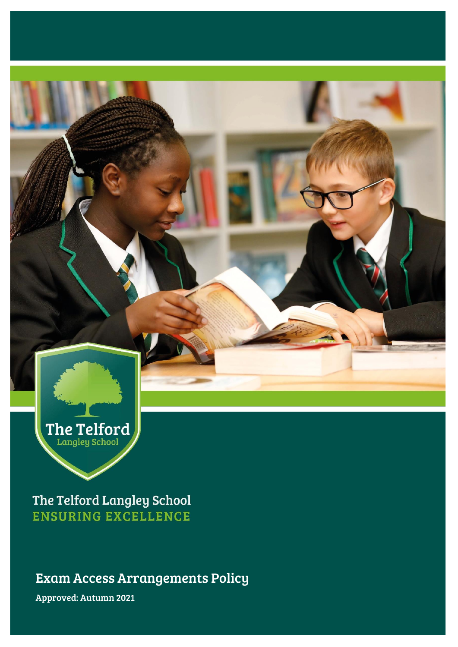

The Telford Langley School **ENSURING EXCELLENCE** 

Exam Access Arrangements Policy

Approved: Autumn 2021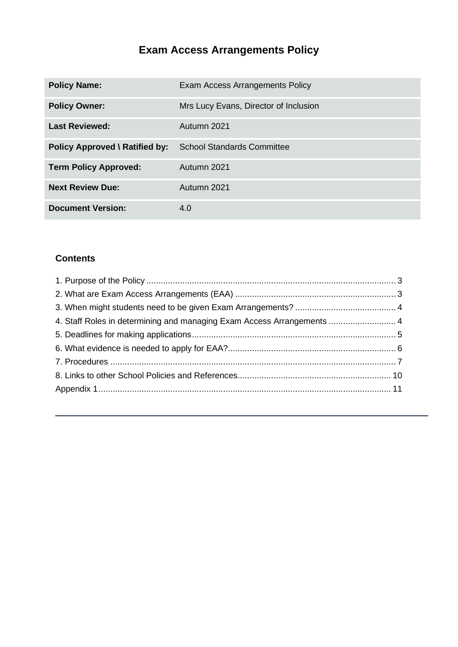# **Exam Access Arrangements Policy**

| <b>Policy Name:</b>                   | Exam Access Arrangements Policy       |
|---------------------------------------|---------------------------------------|
| <b>Policy Owner:</b>                  | Mrs Lucy Evans, Director of Inclusion |
| <b>Last Reviewed:</b>                 | Autumn 2021                           |
| <b>Policy Approved \ Ratified by:</b> | <b>School Standards Committee</b>     |
| <b>Term Policy Approved:</b>          | Autumn 2021                           |
| <b>Next Review Due:</b>               | Autumn 2021                           |
| <b>Document Version:</b>              | 4.0                                   |

## **Contents**

| 4. Staff Roles in determining and managing Exam Access Arrangements  4 |  |
|------------------------------------------------------------------------|--|
|                                                                        |  |
|                                                                        |  |
|                                                                        |  |
|                                                                        |  |
|                                                                        |  |
|                                                                        |  |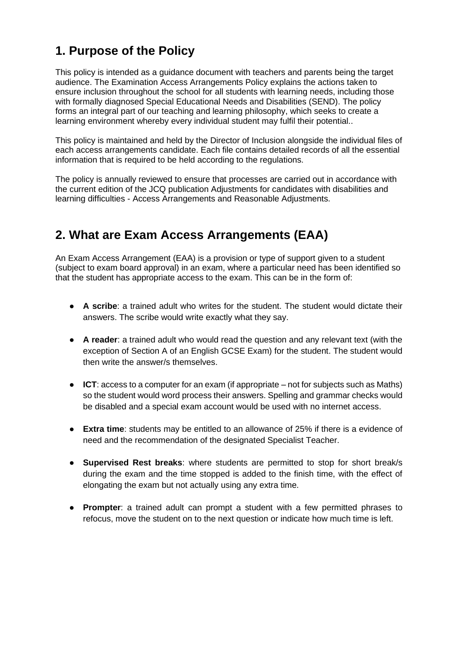## <span id="page-2-0"></span>**1. Purpose of the Policy**

This policy is intended as a guidance document with teachers and parents being the target audience. The Examination Access Arrangements Policy explains the actions taken to ensure inclusion throughout the school for all students with learning needs, including those with formally diagnosed Special Educational Needs and Disabilities (SEND). The policy forms an integral part of our teaching and learning philosophy, which seeks to create a learning environment whereby every individual student may fulfil their potential..

This policy is maintained and held by the Director of Inclusion alongside the individual files of each access arrangements candidate. Each file contains detailed records of all the essential information that is required to be held according to the regulations.

The policy is annually reviewed to ensure that processes are carried out in accordance with the current edition of the JCQ publication Adjustments for candidates with disabilities and learning difficulties - Access Arrangements and Reasonable Adjustments.

## <span id="page-2-1"></span>**2. What are Exam Access Arrangements (EAA)**

An Exam Access Arrangement (EAA) is a provision or type of support given to a student (subject to exam board approval) in an exam, where a particular need has been identified so that the student has appropriate access to the exam. This can be in the form of:

- **A scribe**: a trained adult who writes for the student. The student would dictate their answers. The scribe would write exactly what they say.
- **A reader**: a trained adult who would read the question and any relevant text (with the exception of Section A of an English GCSE Exam) for the student. The student would then write the answer/s themselves.
- **ICT**: access to a computer for an exam (if appropriate not for subjects such as Maths) so the student would word process their answers. Spelling and grammar checks would be disabled and a special exam account would be used with no internet access.
- **Extra time**: students may be entitled to an allowance of 25% if there is a evidence of need and the recommendation of the designated Specialist Teacher.
- **Supervised Rest breaks**: where students are permitted to stop for short break/s during the exam and the time stopped is added to the finish time, with the effect of elongating the exam but not actually using any extra time.
- **Prompter**: a trained adult can prompt a student with a few permitted phrases to refocus, move the student on to the next question or indicate how much time is left.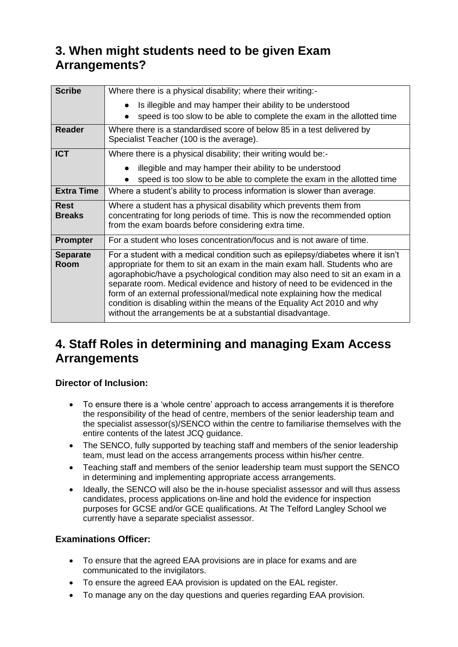## <span id="page-3-0"></span>**3. When might students need to be given Exam Arrangements?**

| <b>Scribe</b>                | Where there is a physical disability; where their writing:-                                                                                                                                                                                                                                                                                                                                                                                                                                                                                        |
|------------------------------|----------------------------------------------------------------------------------------------------------------------------------------------------------------------------------------------------------------------------------------------------------------------------------------------------------------------------------------------------------------------------------------------------------------------------------------------------------------------------------------------------------------------------------------------------|
|                              |                                                                                                                                                                                                                                                                                                                                                                                                                                                                                                                                                    |
|                              | Is illegible and may hamper their ability to be understood                                                                                                                                                                                                                                                                                                                                                                                                                                                                                         |
|                              | speed is too slow to be able to complete the exam in the allotted time                                                                                                                                                                                                                                                                                                                                                                                                                                                                             |
| <b>Reader</b>                | Where there is a standardised score of below 85 in a test delivered by<br>Specialist Teacher (100 is the average).                                                                                                                                                                                                                                                                                                                                                                                                                                 |
| <b>ICT</b>                   | Where there is a physical disability; their writing would be:-                                                                                                                                                                                                                                                                                                                                                                                                                                                                                     |
|                              | illegible and may hamper their ability to be understood                                                                                                                                                                                                                                                                                                                                                                                                                                                                                            |
|                              | speed is too slow to be able to complete the exam in the allotted time                                                                                                                                                                                                                                                                                                                                                                                                                                                                             |
| <b>Extra Time</b>            | Where a student's ability to process information is slower than average.                                                                                                                                                                                                                                                                                                                                                                                                                                                                           |
| <b>Rest</b><br><b>Breaks</b> | Where a student has a physical disability which prevents them from<br>concentrating for long periods of time. This is now the recommended option<br>from the exam boards before considering extra time.                                                                                                                                                                                                                                                                                                                                            |
| Prompter                     | For a student who loses concentration/focus and is not aware of time.                                                                                                                                                                                                                                                                                                                                                                                                                                                                              |
| <b>Separate</b><br>Room      | For a student with a medical condition such as epilepsy/diabetes where it isn't<br>appropriate for them to sit an exam in the main exam hall. Students who are<br>agoraphobic/have a psychological condition may also need to sit an exam in a<br>separate room. Medical evidence and history of need to be evidenced in the<br>form of an external professional/medical note explaining how the medical<br>condition is disabling within the means of the Equality Act 2010 and why<br>without the arrangements be at a substantial disadvantage. |

## <span id="page-3-1"></span>**4. Staff Roles in determining and managing Exam Access Arrangements**

### **Director of Inclusion:**

- To ensure there is a 'whole centre' approach to access arrangements it is therefore the responsibility of the head of centre, members of the senior leadership team and the specialist assessor(s)/SENCO within the centre to familiarise themselves with the entire contents of the latest JCQ guidance.
- The SENCO, fully supported by teaching staff and members of the senior leadership team, must lead on the access arrangements process within his/her centre.
- Teaching staff and members of the senior leadership team must support the SENCO in determining and implementing appropriate access arrangements.
- Ideally, the SENCO will also be the in-house specialist assessor and will thus assess candidates, process applications on-line and hold the evidence for inspection purposes for GCSE and/or GCE qualifications. At The Telford Langley School we currently have a separate specialist assessor.

### **Examinations Officer:**

- To ensure that the agreed EAA provisions are in place for exams and are communicated to the invigilators.
- To ensure the agreed EAA provision is updated on the EAL register.
- To manage any on the day questions and queries regarding EAA provision.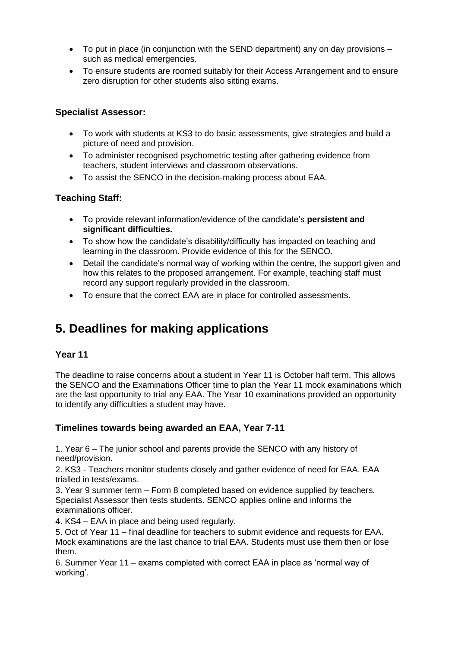- To put in place (in conjunction with the SEND department) any on day provisions such as medical emergencies.
- To ensure students are roomed suitably for their Access Arrangement and to ensure zero disruption for other students also sitting exams.

### **Specialist Assessor:**

- To work with students at KS3 to do basic assessments, give strategies and build a picture of need and provision.
- To administer recognised psychometric testing after gathering evidence from teachers, student interviews and classroom observations.
- To assist the SENCO in the decision-making process about EAA.

### **Teaching Staff:**

- To provide relevant information/evidence of the candidate's **persistent and significant difficulties.**
- To show how the candidate's disability/difficulty has impacted on teaching and learning in the classroom. Provide evidence of this for the SENCO.
- Detail the candidate's normal way of working within the centre, the support given and how this relates to the proposed arrangement. For example, teaching staff must record any support regularly provided in the classroom.
- To ensure that the correct EAA are in place for controlled assessments.

## <span id="page-4-0"></span>**5. Deadlines for making applications**

#### **Year 11**

The deadline to raise concerns about a student in Year 11 is October half term. This allows the SENCO and the Examinations Officer time to plan the Year 11 mock examinations which are the last opportunity to trial any EAA. The Year 10 examinations provided an opportunity to identify any difficulties a student may have.

#### **Timelines towards being awarded an EAA, Year 7-11**

1. Year 6 – The junior school and parents provide the SENCO with any history of need/provision.

2. KS3 - Teachers monitor students closely and gather evidence of need for EAA. EAA trialled in tests/exams.

3. Year 9 summer term – Form 8 completed based on evidence supplied by teachers. Specialist Assessor then tests students. SENCO applies online and informs the examinations officer.

4. KS4 – EAA in place and being used regularly.

5. Oct of Year 11 – final deadline for teachers to submit evidence and requests for EAA. Mock examinations are the last chance to trial EAA. Students must use them then or lose them.

6. Summer Year 11 – exams completed with correct EAA in place as 'normal way of working'.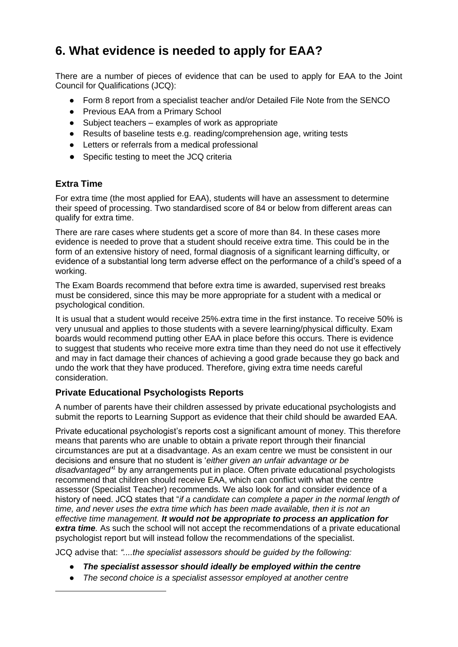## <span id="page-5-0"></span>**6. What evidence is needed to apply for EAA?**

There are a number of pieces of evidence that can be used to apply for EAA to the Joint Council for Qualifications (JCQ):

- Form 8 report from a specialist teacher and/or Detailed File Note from the SENCO
- Previous EAA from a Primary School
- Subject teachers examples of work as appropriate
- Results of baseline tests e.g. reading/comprehension age, writing tests
- Letters or referrals from a medical professional
- Specific testing to meet the JCQ criteria

### **Extra Time**

For extra time (the most applied for EAA), students will have an assessment to determine their speed of processing. Two standardised score of 84 or below from different areas can qualify for extra time.

There are rare cases where students get a score of more than 84. In these cases more evidence is needed to prove that a student should receive extra time. This could be in the form of an extensive history of need, formal diagnosis of a significant learning difficulty, or evidence of a substantial long term adverse effect on the performance of a child's speed of a working.

The Exam Boards recommend that before extra time is awarded, supervised rest breaks must be considered, since this may be more appropriate for a student with a medical or psychological condition.

It is usual that a student would receive 25% extra time in the first instance. To receive 50% is very unusual and applies to those students with a severe learning/physical difficulty. Exam boards would recommend putting other EAA in place before this occurs. There is evidence to suggest that students who receive more extra time than they need do not use it effectively and may in fact damage their chances of achieving a good grade because they go back and undo the work that they have produced. Therefore, giving extra time needs careful consideration.

### **Private Educational Psychologists Reports**

A number of parents have their children assessed by private educational psychologists and submit the reports to Learning Support as evidence that their child should be awarded EAA.

Private educational psychologist's reports cost a significant amount of money. This therefore means that parents who are unable to obtain a private report through their financial circumstances are put at a disadvantage. As an exam centre we must be consistent in our decisions and ensure that no student is '*either given an unfair advantage or be disadvantaged' <sup>1</sup>* by any arrangements put in place. Often private educational psychologists recommend that children should receive EAA, which can conflict with what the centre assessor (Specialist Teacher) recommends. We also look for and consider evidence of a history of need. JCQ states that "*if a candidate can complete a paper in the normal length of time, and never uses the extra time which has been made available, then it is not an effective time management. It would not be appropriate to process an application for extra time.* As such the school will not accept the recommendations of a private educational psychologist report but will instead follow the recommendations of the specialist.

JCQ advise that: *"....the specialist assessors should be guided by the following:*

- *The specialist assessor should ideally be employed within the centre*
- *The second choice is a specialist assessor employed at another centre*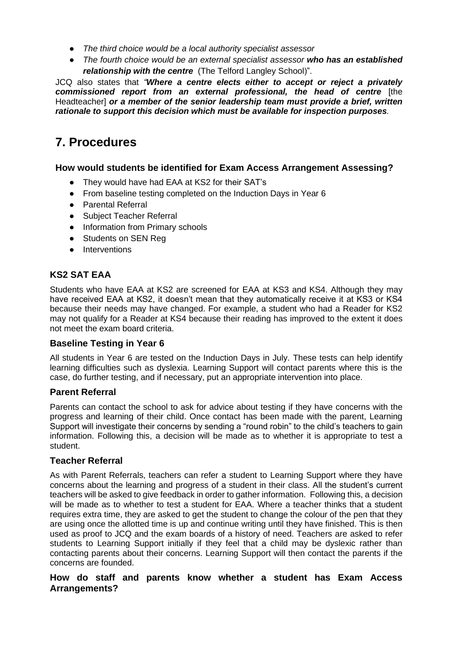- *The third choice would be a local authority specialist assessor*
- *The fourth choice would be an external specialist assessor who has an established relationship with the centre* (The Telford Langley School)".

JCQ also states that *"Where a centre elects either to accept or reject a privately commissioned report from an external professional, the head of centre* [the Headteacher] *or a member of the senior leadership team must provide a brief, written rationale to support this decision which must be available for inspection purposes.*

## <span id="page-6-0"></span>**7. Procedures**

#### **How would students be identified for Exam Access Arrangement Assessing?**

- They would have had EAA at KS2 for their SAT's
- From baseline testing completed on the Induction Days in Year 6
- Parental Referral
- Subject Teacher Referral
- Information from Primary schools
- Students on SEN Reg
- Interventions

## **KS2 SAT EAA**

Students who have EAA at KS2 are screened for EAA at KS3 and KS4. Although they may have received EAA at KS2, it doesn't mean that they automatically receive it at KS3 or KS4 because their needs may have changed. For example, a student who had a Reader for KS2 may not qualify for a Reader at KS4 because their reading has improved to the extent it does not meet the exam board criteria.

#### **Baseline Testing in Year 6**

All students in Year 6 are tested on the Induction Days in July. These tests can help identify learning difficulties such as dyslexia. Learning Support will contact parents where this is the case, do further testing, and if necessary, put an appropriate intervention into place.

#### **Parent Referral**

Parents can contact the school to ask for advice about testing if they have concerns with the progress and learning of their child. Once contact has been made with the parent, Learning Support will investigate their concerns by sending a "round robin" to the child's teachers to gain information. Following this, a decision will be made as to whether it is appropriate to test a student.

#### **Teacher Referral**

As with Parent Referrals, teachers can refer a student to Learning Support where they have concerns about the learning and progress of a student in their class. All the student's current teachers will be asked to give feedback in order to gather information. Following this, a decision will be made as to whether to test a student for EAA. Where a teacher thinks that a student requires extra time, they are asked to get the student to change the colour of the pen that they are using once the allotted time is up and continue writing until they have finished. This is then used as proof to JCQ and the exam boards of a history of need. Teachers are asked to refer students to Learning Support initially if they feel that a child may be dyslexic rather than contacting parents about their concerns. Learning Support will then contact the parents if the concerns are founded.

#### **How do staff and parents know whether a student has Exam Access Arrangements?**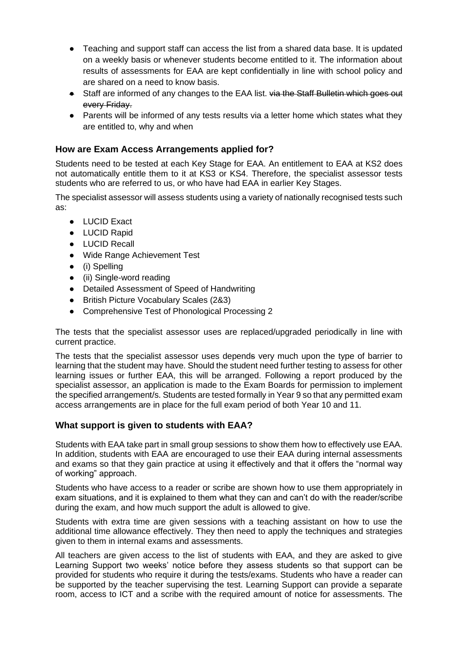- Teaching and support staff can access the list from a shared data base. It is updated on a weekly basis or whenever students become entitled to it. The information about results of assessments for EAA are kept confidentially in line with school policy and are shared on a need to know basis.
- Staff are informed of any changes to the EAA list. via the Staff Bulletin which goes out every Friday.
- Parents will be informed of any tests results via a letter home which states what they are entitled to, why and when

#### **How are Exam Access Arrangements applied for?**

Students need to be tested at each Key Stage for EAA. An entitlement to EAA at KS2 does not automatically entitle them to it at KS3 or KS4. Therefore, the specialist assessor tests students who are referred to us, or who have had EAA in earlier Key Stages.

The specialist assessor will assess students using a variety of nationally recognised tests such as:

- LUCID Exact
- LUCID Rapid
- LUCID Recall
- Wide Range Achievement Test
- (i) Spelling
- (ii) Single-word reading
- Detailed Assessment of Speed of Handwriting
- British Picture Vocabulary Scales (2&3)
- Comprehensive Test of Phonological Processing 2

The tests that the specialist assessor uses are replaced/upgraded periodically in line with current practice.

The tests that the specialist assessor uses depends very much upon the type of barrier to learning that the student may have. Should the student need further testing to assess for other learning issues or further EAA, this will be arranged. Following a report produced by the specialist assessor, an application is made to the Exam Boards for permission to implement the specified arrangement/s. Students are tested formally in Year 9 so that any permitted exam access arrangements are in place for the full exam period of both Year 10 and 11.

#### **What support is given to students with EAA?**

Students with EAA take part in small group sessions to show them how to effectively use EAA. In addition, students with EAA are encouraged to use their EAA during internal assessments and exams so that they gain practice at using it effectively and that it offers the "normal way of working" approach.

Students who have access to a reader or scribe are shown how to use them appropriately in exam situations, and it is explained to them what they can and can't do with the reader/scribe during the exam, and how much support the adult is allowed to give.

Students with extra time are given sessions with a teaching assistant on how to use the additional time allowance effectively. They then need to apply the techniques and strategies given to them in internal exams and assessments.

All teachers are given access to the list of students with EAA, and they are asked to give Learning Support two weeks' notice before they assess students so that support can be provided for students who require it during the tests/exams. Students who have a reader can be supported by the teacher supervising the test. Learning Support can provide a separate room, access to ICT and a scribe with the required amount of notice for assessments. The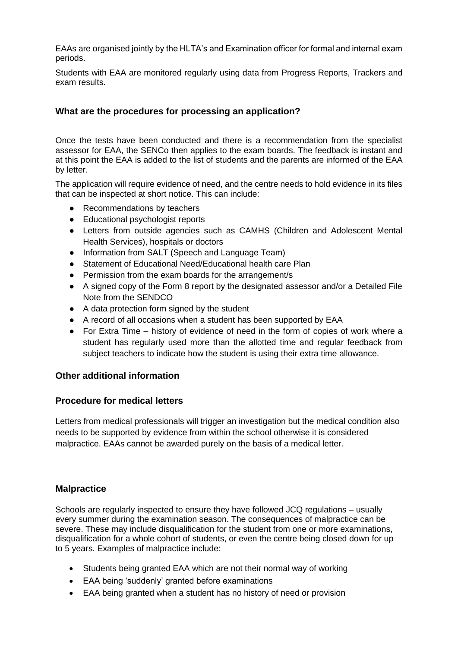EAAs are organised jointly by the HLTA's and Examination officer for formal and internal exam periods.

Students with EAA are monitored regularly using data from Progress Reports, Trackers and exam results.

### **What are the procedures for processing an application?**

Once the tests have been conducted and there is a recommendation from the specialist assessor for EAA, the SENCo then applies to the exam boards. The feedback is instant and at this point the EAA is added to the list of students and the parents are informed of the EAA by letter.

The application will require evidence of need, and the centre needs to hold evidence in its files that can be inspected at short notice. This can include:

- Recommendations by teachers
- Educational psychologist reports
- Letters from outside agencies such as CAMHS (Children and Adolescent Mental Health Services), hospitals or doctors
- Information from SALT (Speech and Language Team)
- Statement of Educational Need/Educational health care Plan
- Permission from the exam boards for the arrangement/s
- A signed copy of the Form 8 report by the designated assessor and/or a Detailed File Note from the SENDCO
- A data protection form signed by the student
- A record of all occasions when a student has been supported by EAA
- For Extra Time history of evidence of need in the form of copies of work where a student has regularly used more than the allotted time and regular feedback from subject teachers to indicate how the student is using their extra time allowance.

#### **Other additional information**

#### **Procedure for medical letters**

Letters from medical professionals will trigger an investigation but the medical condition also needs to be supported by evidence from within the school otherwise it is considered malpractice. EAAs cannot be awarded purely on the basis of a medical letter.

#### **Malpractice**

Schools are regularly inspected to ensure they have followed JCQ regulations – usually every summer during the examination season. The consequences of malpractice can be severe. These may include disqualification for the student from one or more examinations, disqualification for a whole cohort of students, or even the centre being closed down for up to 5 years. Examples of malpractice include:

- Students being granted EAA which are not their normal way of working
- EAA being 'suddenly' granted before examinations
- EAA being granted when a student has no history of need or provision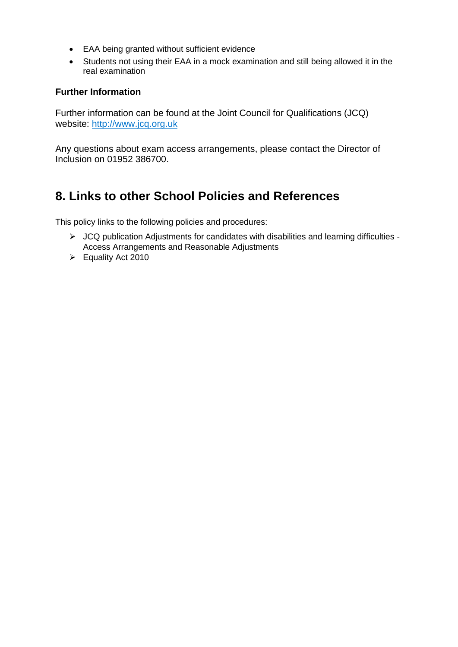- EAA being granted without sufficient evidence
- Students not using their EAA in a mock examination and still being allowed it in the real examination

#### **Further Information**

Further information can be found at the Joint Council for Qualifications (JCQ) website: [http://www.jcq.org.uk](http://www.jcq.org.uk/)

Any questions about exam access arrangements, please contact the Director of Inclusion on 01952 386700.

## <span id="page-9-0"></span>**8. Links to other School Policies and References**

This policy links to the following policies and procedures:

- ➢ JCQ publication Adjustments for candidates with disabilities and learning difficulties Access Arrangements and Reasonable Adjustments
- ➢ Equality Act 2010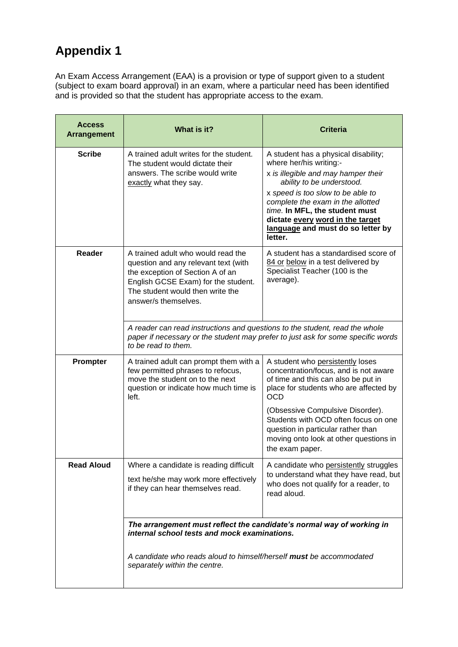# <span id="page-10-0"></span>**Appendix 1**

An Exam Access Arrangement (EAA) is a provision or type of support given to a student (subject to exam board approval) in an exam, where a particular need has been identified and is provided so that the student has appropriate access to the exam.

| <b>Access</b><br><b>Arrangement</b> | What is it?                                                                                                                                                                                                                   | <b>Criteria</b>                                                                                                                                                                                                                                                                                                                     |
|-------------------------------------|-------------------------------------------------------------------------------------------------------------------------------------------------------------------------------------------------------------------------------|-------------------------------------------------------------------------------------------------------------------------------------------------------------------------------------------------------------------------------------------------------------------------------------------------------------------------------------|
| <b>Scribe</b>                       | A trained adult writes for the student.<br>The student would dictate their<br>answers. The scribe would write<br>exactly what they say.                                                                                       | A student has a physical disability;<br>where her/his writing:-<br>x is illegible and may hamper their<br>ability to be understood.<br>x speed is too slow to be able to<br>complete the exam in the allotted<br>time. In MFL, the student must<br>dictate every word in the target<br>language and must do so letter by<br>letter. |
| Reader                              | A trained adult who would read the<br>question and any relevant text (with<br>the exception of Section A of an<br>English GCSE Exam) for the student.<br>The student would then write the<br>answer/s themselves.             | A student has a standardised score of<br>84 or below in a test delivered by<br>Specialist Teacher (100 is the<br>average).                                                                                                                                                                                                          |
|                                     | A reader can read instructions and questions to the student, read the whole<br>to be read to them.                                                                                                                            | paper if necessary or the student may prefer to just ask for some specific words                                                                                                                                                                                                                                                    |
| Prompter                            | A trained adult can prompt them with a<br>few permitted phrases to refocus,<br>move the student on to the next<br>question or indicate how much time is<br>left.                                                              | A student who persistently loses<br>concentration/focus, and is not aware<br>of time and this can also be put in<br>place for students who are affected by<br><b>OCD</b>                                                                                                                                                            |
|                                     |                                                                                                                                                                                                                               | (Obsessive Compulsive Disorder).<br>Students with OCD often focus on one<br>question in particular rather than<br>moving onto look at other questions in<br>the exam paper.                                                                                                                                                         |
| <b>Read Aloud</b>                   | Where a candidate is reading difficult<br>text he/she may work more effectively<br>if they can hear themselves read.                                                                                                          | A candidate who persistently struggles<br>to understand what they have read, but<br>who does not qualify for a reader, to<br>read aloud.                                                                                                                                                                                            |
|                                     | The arrangement must reflect the candidate's normal way of working in<br>internal school tests and mock examinations.<br>A candidate who reads aloud to himself/herself must be accommodated<br>separately within the centre. |                                                                                                                                                                                                                                                                                                                                     |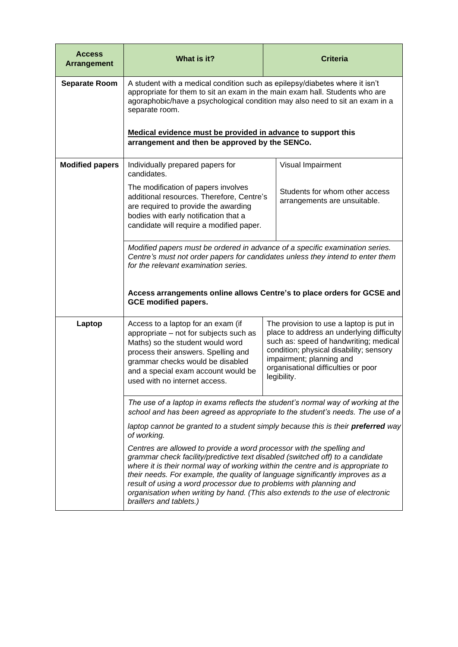| <b>Access</b><br><b>Arrangement</b> | What is it?                                                                                                                                                                                                                                                                                                                                                                                                                                                                                                   |  | <b>Criteria</b>                                                                                                                                                                                                                                             |
|-------------------------------------|---------------------------------------------------------------------------------------------------------------------------------------------------------------------------------------------------------------------------------------------------------------------------------------------------------------------------------------------------------------------------------------------------------------------------------------------------------------------------------------------------------------|--|-------------------------------------------------------------------------------------------------------------------------------------------------------------------------------------------------------------------------------------------------------------|
| <b>Separate Room</b>                | A student with a medical condition such as epilepsy/diabetes where it isn't<br>appropriate for them to sit an exam in the main exam hall. Students who are<br>agoraphobic/have a psychological condition may also need to sit an exam in a<br>separate room.                                                                                                                                                                                                                                                  |  |                                                                                                                                                                                                                                                             |
|                                     | Medical evidence must be provided in advance to support this<br>arrangement and then be approved by the SENCo.                                                                                                                                                                                                                                                                                                                                                                                                |  |                                                                                                                                                                                                                                                             |
| <b>Modified papers</b>              | Individually prepared papers for<br>candidates.                                                                                                                                                                                                                                                                                                                                                                                                                                                               |  | Visual Impairment                                                                                                                                                                                                                                           |
|                                     | The modification of papers involves<br>additional resources. Therefore, Centre's<br>are required to provide the awarding<br>bodies with early notification that a<br>candidate will require a modified paper.                                                                                                                                                                                                                                                                                                 |  | Students for whom other access<br>arrangements are unsuitable.                                                                                                                                                                                              |
|                                     | Modified papers must be ordered in advance of a specific examination series.<br>Centre's must not order papers for candidates unless they intend to enter them<br>for the relevant examination series.                                                                                                                                                                                                                                                                                                        |  |                                                                                                                                                                                                                                                             |
|                                     | Access arrangements online allows Centre's to place orders for GCSE and<br><b>GCE modified papers.</b>                                                                                                                                                                                                                                                                                                                                                                                                        |  |                                                                                                                                                                                                                                                             |
| Laptop                              | Access to a laptop for an exam (if<br>appropriate - not for subjects such as<br>Maths) so the student would word<br>process their answers. Spelling and<br>grammar checks would be disabled<br>and a special exam account would be<br>used with no internet access.                                                                                                                                                                                                                                           |  | The provision to use a laptop is put in<br>place to address an underlying difficulty<br>such as: speed of handwriting; medical<br>condition; physical disability; sensory<br>impairment; planning and<br>organisational difficulties or poor<br>legibility. |
|                                     | The use of a laptop in exams reflects the student's normal way of working at the<br>school and has been agreed as appropriate to the student's needs. The use of a                                                                                                                                                                                                                                                                                                                                            |  |                                                                                                                                                                                                                                                             |
|                                     | laptop cannot be granted to a student simply because this is their preferred way<br>of working.                                                                                                                                                                                                                                                                                                                                                                                                               |  |                                                                                                                                                                                                                                                             |
|                                     | Centres are allowed to provide a word processor with the spelling and<br>grammar check facility/predictive text disabled (switched off) to a candidate<br>where it is their normal way of working within the centre and is appropriate to<br>their needs. For example, the quality of language significantly improves as a<br>result of using a word processor due to problems with planning and<br>organisation when writing by hand. (This also extends to the use of electronic<br>braillers and tablets.) |  |                                                                                                                                                                                                                                                             |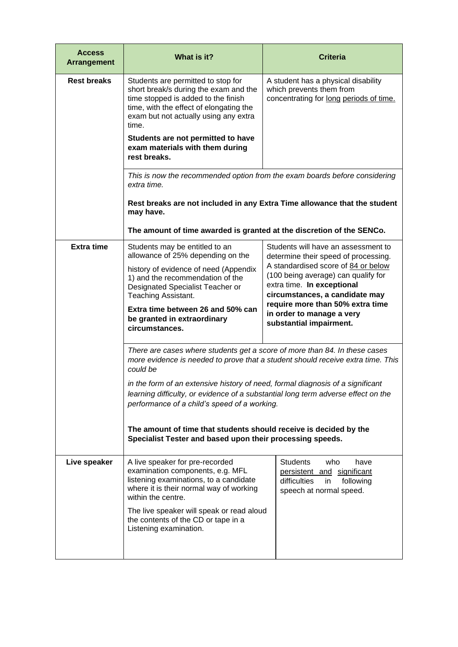| <b>Access</b><br><b>Arrangement</b> | What is it?                                                                                                                                                                                                                                                                                                                                                                                      | <b>Criteria</b>                                                                                                                            |  |
|-------------------------------------|--------------------------------------------------------------------------------------------------------------------------------------------------------------------------------------------------------------------------------------------------------------------------------------------------------------------------------------------------------------------------------------------------|--------------------------------------------------------------------------------------------------------------------------------------------|--|
| <b>Rest breaks</b>                  | Students are permitted to stop for<br>short break/s during the exam and the<br>time stopped is added to the finish<br>time, with the effect of elongating the<br>exam but not actually using any extra<br>time.<br>Students are not permitted to have<br>exam materials with them during<br>rest breaks.                                                                                         | A student has a physical disability<br>which prevents them from<br>concentrating for long periods of time.                                 |  |
|                                     | extra time.                                                                                                                                                                                                                                                                                                                                                                                      | This is now the recommended option from the exam boards before considering                                                                 |  |
|                                     | may have.                                                                                                                                                                                                                                                                                                                                                                                        | Rest breaks are not included in any Extra Time allowance that the student                                                                  |  |
|                                     | The amount of time awarded is granted at the discretion of the SENCo.                                                                                                                                                                                                                                                                                                                            |                                                                                                                                            |  |
| <b>Extra time</b>                   | Students may be entitled to an<br>allowance of 25% depending on the                                                                                                                                                                                                                                                                                                                              | Students will have an assessment to<br>determine their speed of processing.                                                                |  |
|                                     | history of evidence of need (Appendix<br>1) and the recommendation of the<br>Designated Specialist Teacher or<br>Teaching Assistant.                                                                                                                                                                                                                                                             | A standardised score of 84 or below<br>(100 being average) can qualify for<br>extra time. In exceptional<br>circumstances, a candidate may |  |
|                                     | Extra time between 26 and 50% can<br>be granted in extraordinary<br>circumstances.                                                                                                                                                                                                                                                                                                               | require more than 50% extra time<br>in order to manage a very<br>substantial impairment.                                                   |  |
|                                     | There are cases where students get a score of more than 84. In these cases<br>more evidence is needed to prove that a student should receive extra time. This<br>could be<br>in the form of an extensive history of need, formal diagnosis of a significant<br>learning difficulty, or evidence of a substantial long term adverse effect on the<br>performance of a child's speed of a working. |                                                                                                                                            |  |
|                                     |                                                                                                                                                                                                                                                                                                                                                                                                  |                                                                                                                                            |  |
|                                     | The amount of time that students should receive is decided by the<br>Specialist Tester and based upon their processing speeds.                                                                                                                                                                                                                                                                   |                                                                                                                                            |  |
| Live speaker                        | A live speaker for pre-recorded<br>examination components, e.g. MFL<br>listening examinations, to a candidate<br>where it is their normal way of working<br>within the centre.                                                                                                                                                                                                                   | <b>Students</b><br>who<br>have<br>persistent and significant<br>difficulties<br>following<br>in<br>speech at normal speed.                 |  |
|                                     | The live speaker will speak or read aloud<br>the contents of the CD or tape in a<br>Listening examination.                                                                                                                                                                                                                                                                                       |                                                                                                                                            |  |
|                                     |                                                                                                                                                                                                                                                                                                                                                                                                  |                                                                                                                                            |  |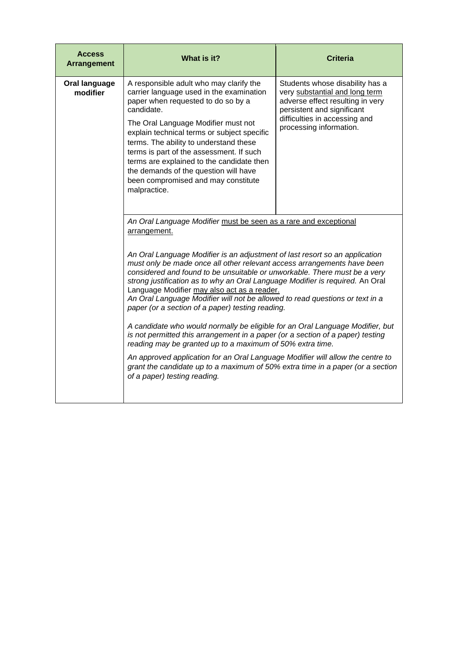| <b>Access</b><br><b>Arrangement</b> | What is it?                                                                                                                                                                                                                                                                                                                                                                                                                                                                                             | <b>Criteria</b>                                                                                                                                                                                 |
|-------------------------------------|---------------------------------------------------------------------------------------------------------------------------------------------------------------------------------------------------------------------------------------------------------------------------------------------------------------------------------------------------------------------------------------------------------------------------------------------------------------------------------------------------------|-------------------------------------------------------------------------------------------------------------------------------------------------------------------------------------------------|
| Oral language<br>modifier           | A responsible adult who may clarify the<br>carrier language used in the examination<br>paper when requested to do so by a<br>candidate.<br>The Oral Language Modifier must not<br>explain technical terms or subject specific<br>terms. The ability to understand these<br>terms is part of the assessment. If such<br>terms are explained to the candidate then<br>the demands of the question will have                                                                                               | Students whose disability has a<br>very substantial and long term<br>adverse effect resulting in very<br>persistent and significant<br>difficulties in accessing and<br>processing information. |
|                                     | been compromised and may constitute<br>malpractice.                                                                                                                                                                                                                                                                                                                                                                                                                                                     |                                                                                                                                                                                                 |
|                                     | An Oral Language Modifier must be seen as a rare and exceptional<br>arrangement.                                                                                                                                                                                                                                                                                                                                                                                                                        |                                                                                                                                                                                                 |
|                                     | An Oral Language Modifier is an adjustment of last resort so an application<br>must only be made once all other relevant access arrangements have been<br>considered and found to be unsuitable or unworkable. There must be a very<br>strong justification as to why an Oral Language Modifier is required. An Oral<br>Language Modifier may also act as a reader.<br>An Oral Language Modifier will not be allowed to read questions or text in a<br>paper (or a section of a paper) testing reading. |                                                                                                                                                                                                 |
|                                     | A candidate who would normally be eligible for an Oral Language Modifier, but<br>is not permitted this arrangement in a paper (or a section of a paper) testing<br>reading may be granted up to a maximum of 50% extra time.                                                                                                                                                                                                                                                                            |                                                                                                                                                                                                 |
|                                     | An approved application for an Oral Language Modifier will allow the centre to<br>grant the candidate up to a maximum of 50% extra time in a paper (or a section<br>of a paper) testing reading.                                                                                                                                                                                                                                                                                                        |                                                                                                                                                                                                 |